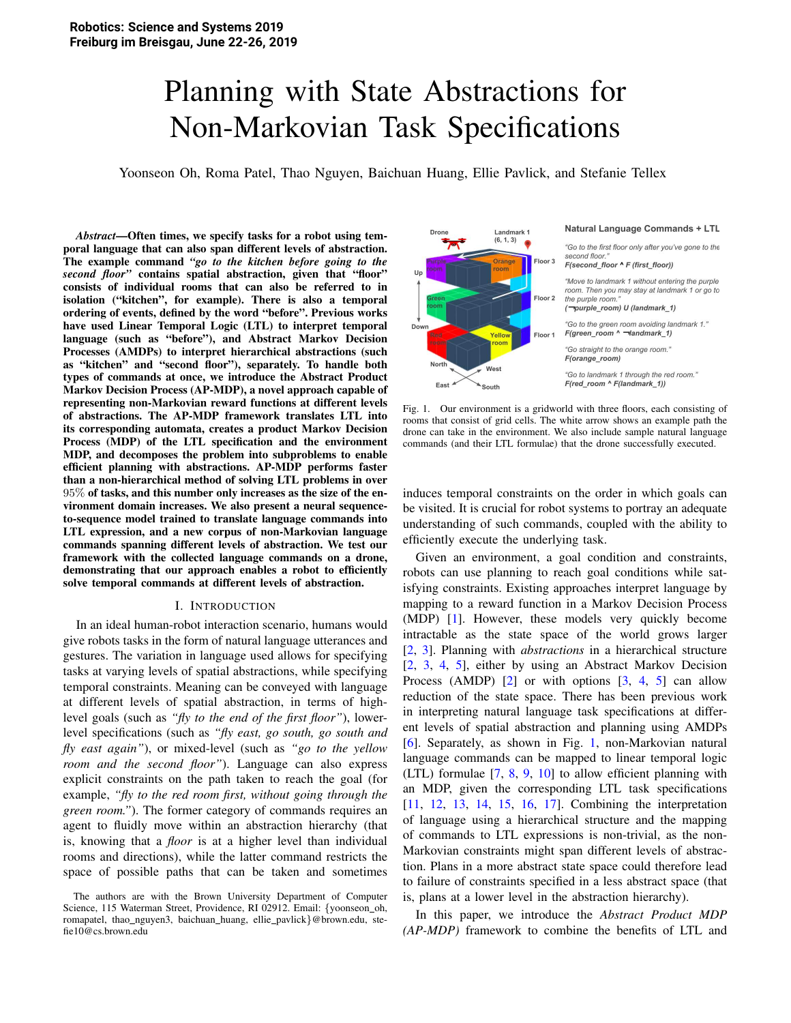# Planning with State Abstractions for Non-Markovian Task Specifications

Yoonseon Oh, Roma Patel, Thao Nguyen, Baichuan Huang, Ellie Pavlick, and Stefanie Tellex

*Abstract*—Often times, we specify tasks for a robot using temporal language that can also span different levels of abstraction. The example command *"go to the kitchen before going to the second floor"* contains spatial abstraction, given that "floor" consists of individual rooms that can also be referred to in isolation ("kitchen", for example). There is also a temporal ordering of events, defined by the word "before". Previous works have used Linear Temporal Logic (LTL) to interpret temporal language (such as "before"), and Abstract Markov Decision Processes (AMDPs) to interpret hierarchical abstractions (such as "kitchen" and "second floor"), separately. To handle both types of commands at once, we introduce the Abstract Product Markov Decision Process (AP-MDP), a novel approach capable of representing non-Markovian reward functions at different levels of abstractions. The AP-MDP framework translates LTL into its corresponding automata, creates a product Markov Decision Process (MDP) of the LTL specification and the environment MDP, and decomposes the problem into subproblems to enable efficient planning with abstractions. AP-MDP performs faster than a non-hierarchical method of solving LTL problems in over 95% of tasks, and this number only increases as the size of the environment domain increases. We also present a neural sequenceto-sequence model trained to translate language commands into LTL expression, and a new corpus of non-Markovian language commands spanning different levels of abstraction. We test our framework with the collected language commands on a drone, demonstrating that our approach enables a robot to efficiently solve temporal commands at different levels of abstraction.

#### I. INTRODUCTION

In an ideal human-robot interaction scenario, humans would give robots tasks in the form of natural language utterances and gestures. The variation in language used allows for specifying tasks at varying levels of spatial abstractions, while specifying temporal constraints. Meaning can be conveyed with language at different levels of spatial abstraction, in terms of highlevel goals (such as *"fly to the end of the first floor"*), lowerlevel specifications (such as *"fly east, go south, go south and fly east again"*), or mixed-level (such as *"go to the yellow room and the second floor"*). Language can also express explicit constraints on the path taken to reach the goal (for example, *"fly to the red room first, without going through the green room."*). The former category of commands requires an agent to fluidly move within an abstraction hierarchy (that is, knowing that a *floor* is at a higher level than individual rooms and directions), while the latter command restricts the space of possible paths that can be taken and sometimes



Fig. 1. Our environment is a gridworld with three floors, each consisting of rooms that consist of grid cells. The white arrow shows an example path the drone can take in the environment. We also include sample natural language commands (and their LTL formulae) that the drone successfully executed.

induces temporal constraints on the order in which goals can be visited. It is crucial for robot systems to portray an adequate understanding of such commands, coupled with the ability to efficiently execute the underlying task.

Given an environment, a goal condition and constraints, robots can use planning to reach goal conditions while satisfying constraints. Existing approaches interpret language by mapping to a reward function in a Markov Decision Process (MDP) [1]. However, these models very quickly become intractable as the state space of the world grows larger [2, 3]. Planning with *abstractions* in a hierarchical structure [2, 3, 4, 5], either by using an Abstract Markov Decision Process (AMDP) [2] or with options [3, 4, 5] can allow reduction of the state space. There has been previous work in interpreting natural language task specifications at different levels of spatial abstraction and planning using AMDPs [6]. Separately, as shown in Fig. 1, non-Markovian natural language commands can be mapped to linear temporal logic (LTL) formulae [7, 8, 9, 10] to allow efficient planning with an MDP, given the corresponding LTL task specifications [11, 12, 13, 14, 15, 16, 17]. Combining the interpretation of language using a hierarchical structure and the mapping of commands to LTL expressions is non-trivial, as the non-Markovian constraints might span different levels of abstraction. Plans in a more abstract state space could therefore lead to failure of constraints specified in a less abstract space (that is, plans at a lower level in the abstraction hierarchy).

In this paper, we introduce the *Abstract Product MDP (AP-MDP)* framework to combine the benefits of LTL and

The authors are with the Brown University Department of Computer Science, 115 Waterman Street, Providence, RI 02912. Email: {yoonseon\_oh, romapatel, thao\_nguyen3, baichuan\_huang, ellie\_pavlick}@brown.edu, stefie10@cs.brown.edu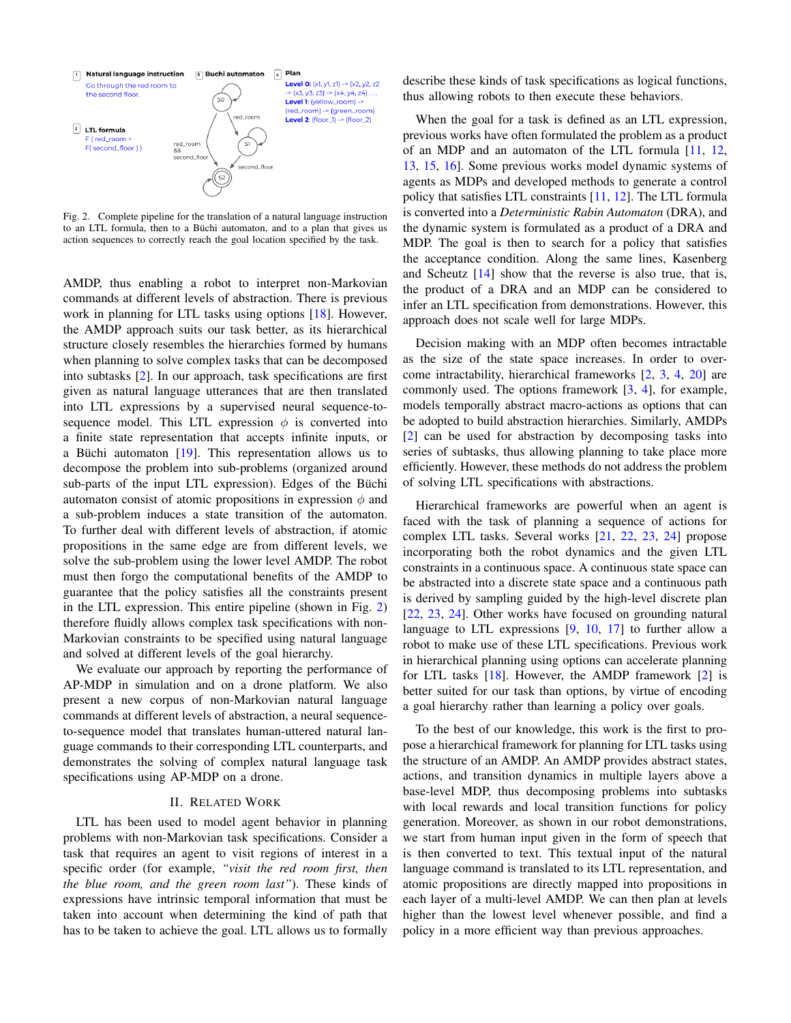

Fig. 2. Complete pipeline for the translation of a natural language instruction to an LTL formula, then to a Büchi automaton, and to a plan that gives us action sequences to correctly reach the goal location specified by the task.

AMDP, thus enabling a robot to interpret non-Markovian commands at different levels of abstraction. There is previous work in planning for LTL tasks using options  $[18]$ . However, the AMDP approach suits our task better, as its hierarchical structure closely resembles the hierarchies formed by humans when planning to solve complex tasks that can be decomposed into subtasks [2]. In our approach, task specifications are first given as natural language utterances that are then translated into LTL expressions by a supervised neural sequence-tosequence model. This LTL expression  $\phi$  is converted into a finite state representation that accepts infinite inputs, or a Büchi automaton  $[19]$ . This representation allows us to decompose the problem into sub-problems (organized around sub-parts of the input LTL expression). Edges of the Büchi automaton consist of atomic propositions in expression  $\phi$  and a sub-problem induces a state transition of the automaton. To further deal with different levels of abstraction, if atomic propositions in the same edge are from different levels, we solve the sub-problem using the lower level AMDP. The robot must then forgo the computational benefits of the AMDP to guarantee that the policy satisfies all the constraints present in the LTL expression. This entire pipeline (shown in Fig.  $2$ ) therefore fluidly allows complex task specifications with non-Markovian constraints to be specified using natural language and solved at different levels of the goal hierarchy.

We evaluate our approach by reporting the performance of AP-MDP in simulation and on a drone platform. We also present a new corpus of non-Markovian natural language commands at different levels of abstraction, a neural sequenceto-sequence model that translates human-uttered natural language commands to their corresponding LTL counterparts, and demonstrates the solving of complex natural language task specifications using AP-MDP on a drone.

# **II. RELATED WORK**

LTL has been used to model agent behavior in planning problems with non-Markovian task specifications. Consider a task that requires an agent to visit regions of interest in a specific order (for example, "visit the red room first, then the blue room, and the green room last"). These kinds of expressions have intrinsic temporal information that must be taken into account when determining the kind of path that has to be taken to achieve the goal. LTL allows us to formally describe these kinds of task specifications as logical functions, thus allowing robots to then execute these behaviors.

When the goal for a task is defined as an LTL expression, previous works have often formulated the problem as a product of an MDP and an automaton of the LTL formula [11, 12, 13, 15, 16. Some previous works model dynamic systems of agents as MDPs and developed methods to generate a control policy that satisfies LTL constraints [11, 12]. The LTL formula is converted into a Deterministic Rabin Automaton (DRA), and the dynamic system is formulated as a product of a DRA and MDP. The goal is then to search for a policy that satisfies the acceptance condition. Along the same lines, Kasenberg and Scheutz  $[14]$  show that the reverse is also true, that is, the product of a DRA and an MDP can be considered to infer an LTL specification from demonstrations. However, this approach does not scale well for large MDPs.

Decision making with an MDP often becomes intractable as the size of the state space increases. In order to overcome intractability, hierarchical frameworks [2, 3, 4, 20] are commonly used. The options framework  $[3, 4]$ , for example, models temporally abstract macro-actions as options that can be adopted to build abstraction hierarchies. Similarly, AMDPs [2] can be used for abstraction by decomposing tasks into series of subtasks, thus allowing planning to take place more efficiently. However, these methods do not address the problem of solving LTL specifications with abstractions.

Hierarchical frameworks are powerful when an agent is faced with the task of planning a sequence of actions for complex LTL tasks. Several works [21, 22, 23, 24] propose incorporating both the robot dynamics and the given LTL constraints in a continuous space. A continuous state space can be abstracted into a discrete state space and a continuous path is derived by sampling guided by the high-level discrete plan [22, 23, 24]. Other works have focused on grounding natural language to LTL expressions  $[9, 10, 17]$  to further allow a robot to make use of these LTL specifications. Previous work in hierarchical planning using options can accelerate planning for LTL tasks  $[18]$ . However, the AMDP framework  $[2]$  is better suited for our task than options, by virtue of encoding a goal hierarchy rather than learning a policy over goals.

To the best of our knowledge, this work is the first to propose a hierarchical framework for planning for LTL tasks using the structure of an AMDP. An AMDP provides abstract states, actions, and transition dynamics in multiple layers above a base-level MDP, thus decomposing problems into subtasks with local rewards and local transition functions for policy generation. Moreover, as shown in our robot demonstrations, we start from human input given in the form of speech that is then converted to text. This textual input of the natural language command is translated to its LTL representation, and atomic propositions are directly mapped into propositions in each layer of a multi-level AMDP. We can then plan at levels higher than the lowest level whenever possible, and find a policy in a more efficient way than previous approaches.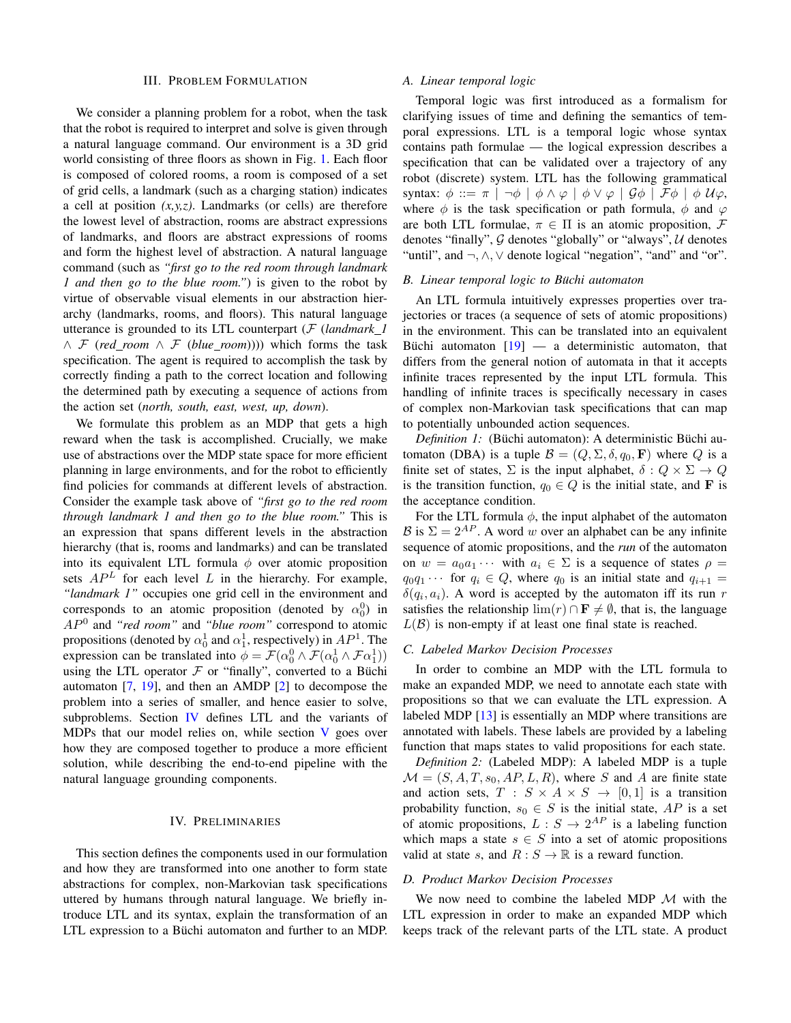#### **III. PROBLEM FORMULATION**

We consider a planning problem for a robot, when the task that the robot is required to interpret and solve is given through a natural language command. Our environment is a 3D grid world consisting of three floors as shown in Fig. 1. Each floor is composed of colored rooms, a room is composed of a set of grid cells, a landmark (such as a charging station) indicates a cell at position  $(x, y, z)$ . Landmarks (or cells) are therefore the lowest level of abstraction, rooms are abstract expressions of landmarks, and floors are abstract expressions of rooms and form the highest level of abstraction. A natural language command (such as "first go to the red room through landmark 1 and then go to the blue room.") is given to the robot by virtue of observable visual elements in our abstraction hierarchy (landmarks, rooms, and floors). This natural language utterance is grounded to its LTL counterpart  $(F$  (landmark 1)  $\wedge$  F (red room  $\wedge$  F (blue room)))) which forms the task specification. The agent is required to accomplish the task by correctly finding a path to the correct location and following the determined path by executing a sequence of actions from the action set (north, south, east, west, up, down).

We formulate this problem as an MDP that gets a high reward when the task is accomplished. Crucially, we make use of abstractions over the MDP state space for more efficient planning in large environments, and for the robot to efficiently find policies for commands at different levels of abstraction. Consider the example task above of "first go to the red room through landmark 1 and then go to the blue room." This is an expression that spans different levels in the abstraction hierarchy (that is, rooms and landmarks) and can be translated into its equivalent LTL formula  $\phi$  over atomic proposition sets  $AP<sup>L</sup>$  for each level L in the hierarchy. For example, "landmark 1" occupies one grid cell in the environment and corresponds to an atomic proposition (denoted by  $\alpha_0^0$ ) in  $AP<sup>0</sup>$  and "red room" and "blue room" correspond to atomic propositions (denoted by  $\alpha_0^1$  and  $\alpha_1^1$ , respectively) in  $AP^1$ . The expression can be translated into  $\phi = \mathcal{F}(\alpha_0^0 \wedge \mathcal{F}(\alpha_0^1 \wedge \mathcal{F}\alpha_1^1))$ using the LTL operator  $\mathcal F$  or "finally", converted to a Büchi automaton  $[7, 19]$ , and then an AMDP  $[2]$  to decompose the problem into a series of smaller, and hence easier to solve, subproblems. Section IV defines LTL and the variants of MDPs that our model relies on, while section V goes over how they are composed together to produce a more efficient solution, while describing the end-to-end pipeline with the natural language grounding components.

#### **IV. PRELIMINARIES**

This section defines the components used in our formulation and how they are transformed into one another to form state abstractions for complex, non-Markovian task specifications uttered by humans through natural language. We briefly introduce LTL and its syntax, explain the transformation of an LTL expression to a Büchi automaton and further to an MDP.

#### A. Linear temporal logic

Temporal logic was first introduced as a formalism for clarifying issues of time and defining the semantics of temporal expressions. LTL is a temporal logic whose syntax contains path formulae  $-$  the logical expression describes a specification that can be validated over a trajectory of any robot (discrete) system. LTL has the following grammatical syntax:  $\phi ::= \pi | \neg \phi | \phi \land \varphi | \phi \lor \varphi | \mathcal{G} \phi | \mathcal{F} \phi | \phi \mathcal{U} \varphi$ , where  $\phi$  is the task specification or path formula,  $\phi$  and  $\varphi$ are both LTL formulae,  $\pi \in \Pi$  is an atomic proposition, F denotes "finally",  $G$  denotes "globally" or "always",  $U$  denotes "until", and  $\neg, \wedge, \vee$  denote logical "negation", "and" and "or".

#### B. Linear temporal logic to Büchi automaton

An LTL formula intuitively expresses properties over trajectories or traces (a sequence of sets of atomic propositions) in the environment. This can be translated into an equivalent Büchi automaton  $[19]$  — a deterministic automaton, that differs from the general notion of automata in that it accepts infinite traces represented by the input LTL formula. This handling of infinite traces is specifically necessary in cases of complex non-Markovian task specifications that can map to potentially unbounded action sequences.

Definition 1: (Büchi automaton): A deterministic Büchi automaton (DBA) is a tuple  $\mathcal{B} = (Q, \Sigma, \delta, q_0, \mathbf{F})$  where Q is a finite set of states,  $\Sigma$  is the input alphabet,  $\delta: Q \times \Sigma \to Q$ is the transition function,  $q_0 \in Q$  is the initial state, and **F** is the acceptance condition.

For the LTL formula  $\phi$ , the input alphabet of the automaton  $\mathcal{B}$  is  $\Sigma = 2^{AP}$ . A word w over an alphabet can be any infinite sequence of atomic propositions, and the *run* of the automaton on  $w = a_0 a_1 \cdots$  with  $a_i \in \Sigma$  is a sequence of states  $\rho =$  $q_0q_1 \cdots$  for  $q_i \in Q$ , where  $q_0$  is an initial state and  $q_{i+1} =$  $\delta(q_i, a_i)$ . A word is accepted by the automaton iff its run r satisfies the relationship  $\lim(r) \cap \mathbf{F} \neq \emptyset$ , that is, the language  $L(\mathcal{B})$  is non-empty if at least one final state is reached.

## C. Labeled Markov Decision Processes

In order to combine an MDP with the LTL formula to make an expanded MDP, we need to annotate each state with propositions so that we can evaluate the LTL expression. A labeled MDP  $[13]$  is essentially an MDP where transitions are annotated with labels. These labels are provided by a labeling function that maps states to valid propositions for each state.

Definition 2: (Labeled MDP): A labeled MDP is a tuple  $\mathcal{M} = (S, A, T, s_0, AP, L, R)$ , where S and A are finite state and action sets,  $T : S \times A \times S \rightarrow [0,1]$  is a transition probability function,  $s_0 \in S$  is the initial state, AP is a set of atomic propositions,  $L: S \to 2^{AP}$  is a labeling function which maps a state  $s \in S$  into a set of atomic propositions valid at state s, and  $R: S \to \mathbb{R}$  is a reward function.

#### D. Product Markov Decision Processes

We now need to combine the labeled MDP  $M$  with the LTL expression in order to make an expanded MDP which keeps track of the relevant parts of the LTL state. A product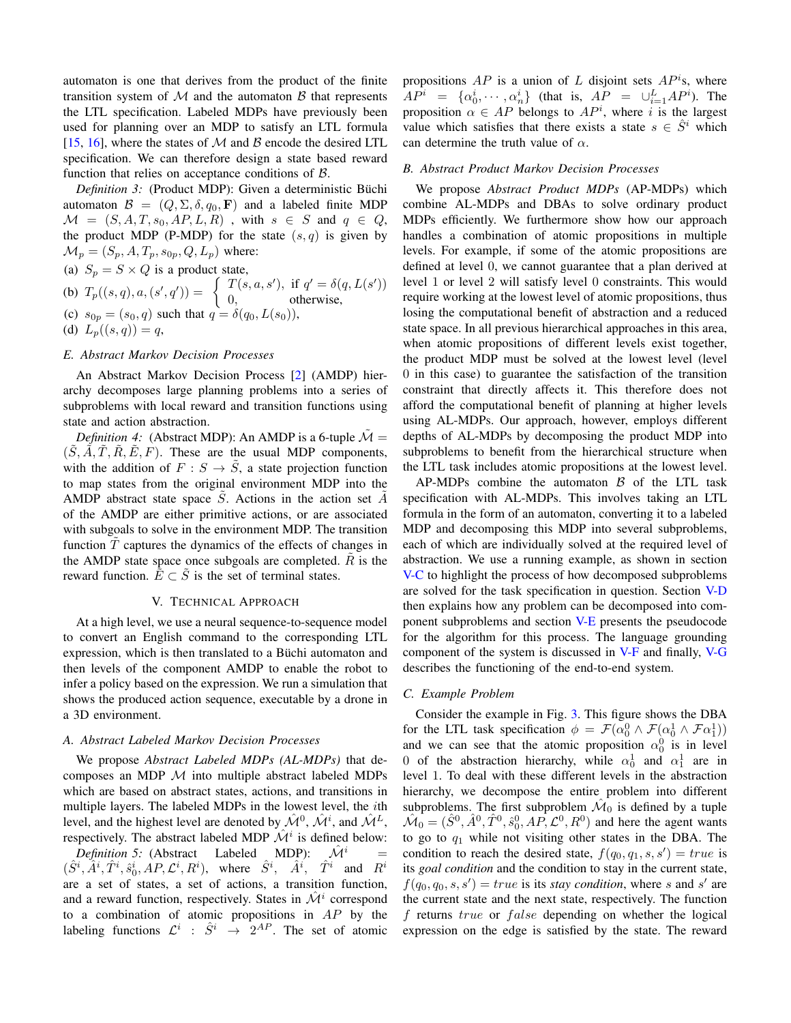automaton is one that derives from the product of the finite transition system of  $M$  and the automaton  $B$  that represents the LTL specification. Labeled MDPs have previously been used for planning over an MDP to satisfy an LTL formula [15, 16], where the states of  $M$  and  $B$  encode the desired LTL specification. We can therefore design a state based reward function that relies on acceptance conditions of  $\beta$ .

Definition 3: (Product MDP): Given a deterministic Büchi automaton  $\mathcal{B} = (Q, \Sigma, \delta, q_0, \mathbf{F})$  and a labeled finite MDP  $\mathcal{M} = (S, A, T, s_0, AP, L, R)$ , with  $s \in S$  and  $q \in Q$ , the product MDP (P-MDP) for the state  $(s, q)$  is given by  $\mathcal{M}_p = (S_p, A, T_p, s_{0p}, Q, L_p)$  where:

(a)  $S_p = S \times Q$  is a product state,

(b) 
$$
T_p((s,q), a, (s', q')) = \begin{cases} T(s, a, s'), & \text{if } q' = \delta(q, L(s')) \\ 0, & \text{otherwise,} \end{cases}
$$
  
\n(c)  $s_{0p} = (s_0, q)$  such that  $q = \delta(q_0, L(s_0)),$   
\n(d)  $L_p((s, q)) = q$ ,

## E. Abstract Markov Decision Processes

An Abstract Markov Decision Process [2] (AMDP) hierarchy decomposes large planning problems into a series of subproblems with local reward and transition functions using state and action abstraction.

*Definition 4:* (Abstract MDP): An AMDP is a 6-tuple  $\mathcal{M} =$  $(S, \tilde{A}, \tilde{T}, \tilde{R}, \tilde{E}, F)$ . These are the usual MDP components, with the addition of  $F : S \to \tilde{S}$ , a state projection function to map states from the original environment MDP into the AMDP abstract state space  $\tilde{S}$ . Actions in the action set  $\tilde{A}$ of the AMDP are either primitive actions, or are associated with subgoals to solve in the environment MDP. The transition function  $\tilde{T}$  captures the dynamics of the effects of changes in the AMDP state space once subgoals are completed.  $\tilde{R}$  is the reward function.  $\tilde{E} \subset \tilde{S}$  is the set of terminal states.

#### V. TECHNICAL APPROACH

At a high level, we use a neural sequence-to-sequence model to convert an English command to the corresponding LTL expression, which is then translated to a Büchi automaton and then levels of the component AMDP to enable the robot to infer a policy based on the expression. We run a simulation that shows the produced action sequence, executable by a drone in a 3D environment.

# A. Abstract Labeled Markov Decision Processes

We propose Abstract Labeled MDPs (AL-MDPs) that decomposes an MDP  $M$  into multiple abstract labeled MDPs which are based on abstract states, actions, and transitions in multiple layers. The labeled MDPs in the lowest level, the *i*th level, and the highest level are denoted by  $\mathcal{M}^0$ ,  $\mathcal{M}^i$ , and  $\mathcal{M}^L$ , respectively. The abstract labeled MDP  $\mathcal{M}^i$  is defined below:

*Definition 5:* (Abstract Labeled MDP):  $\mathcal{M}^i$  $\equiv$  $(\hat{S}^i, \hat{A}^i, \hat{T}^i, \hat{s}_0^i, AP, \mathcal{L}^i, R^i)$ , where  $\hat{S}^i$ ,  $\hat{A}^i$ ,  $\hat{T}^i$  and  $R^i$ are a set of states, a set of actions, a transition function, and a reward function, respectively. States in  $\mathcal{M}^i$  correspond to a combination of atomic propositions in  $AP$  by the labeling functions  $\mathcal{L}^i$  :  $\hat{S}^i \rightarrow 2^{AP}$ . The set of atomic propositions AP is a union of L disjoint sets  $AP<sup>i</sup>$ s, where  $AP^i = {\alpha_0^i, \cdots, \alpha_n^i}$  (that is,  $AP = \bigcup_{i=1}^L AP^i$ ). The proposition  $\alpha \in AP$  belongs to  $AP<sup>i</sup>$ , where i is the largest value which satisfies that there exists a state  $s \in \hat{S}^i$  which can determine the truth value of  $\alpha$ .

#### **B.** Abstract Product Markov Decision Processes

We propose Abstract Product MDPs (AP-MDPs) which combine AL-MDPs and DBAs to solve ordinary product MDPs efficiently. We furthermore show how our approach handles a combination of atomic propositions in multiple levels. For example, if some of the atomic propositions are defined at level 0, we cannot guarantee that a plan derived at level 1 or level 2 will satisfy level 0 constraints. This would require working at the lowest level of atomic propositions, thus losing the computational benefit of abstraction and a reduced state space. In all previous hierarchical approaches in this area, when atomic propositions of different levels exist together, the product MDP must be solved at the lowest level (level  $\theta$  in this case) to guarantee the satisfaction of the transition constraint that directly affects it. This therefore does not afford the computational benefit of planning at higher levels using AL-MDPs. Our approach, however, employs different depths of AL-MDPs by decomposing the product MDP into subproblems to benefit from the hierarchical structure when the LTL task includes atomic propositions at the lowest level.

AP-MDPs combine the automaton  $\beta$  of the LTL task specification with AL-MDPs. This involves taking an LTL formula in the form of an automaton, converting it to a labeled MDP and decomposing this MDP into several subproblems, each of which are individually solved at the required level of abstraction. We use a running example, as shown in section V-C to highlight the process of how decomposed subproblems are solved for the task specification in question. Section V-D then explains how any problem can be decomposed into component subproblems and section V-E presents the pseudocode for the algorithm for this process. The language grounding component of the system is discussed in V-F and finally, V-G describes the functioning of the end-to-end system.

# C. Example Problem

Consider the example in Fig. 3. This figure shows the DBA for the LTL task specification  $\phi = \mathcal{F}(\alpha_0^0 \wedge \mathcal{F}(\alpha_0^1 \wedge \mathcal{F}\alpha_1^1))$ and we can see that the atomic proposition  $\alpha_0^0$  is in level 0 of the abstraction hierarchy, while  $\alpha_0^1$  and  $\alpha_1^1$  are in level 1. To deal with these different levels in the abstraction hierarchy, we decompose the entire problem into different subproblems. The first subproblem  $\mathcal{M}_0$  is defined by a tuple  $\hat{\mathcal{M}}_0 = (\hat{S}^0, \hat{A}^0, \hat{T}^0, \hat{s}_0^0, AP, \mathcal{L}^0, R^0)$  and here the agent wants to go to  $q_1$  while not visiting other states in the DBA. The condition to reach the desired state,  $f(q_0, q_1, s, s') = true$  is its *goal condition* and the condition to stay in the current state,  $f(q_0, q_0, s, s') = true$  is its stay condition, where s and s' are the current state and the next state, respectively. The function f returns true or false depending on whether the logical expression on the edge is satisfied by the state. The reward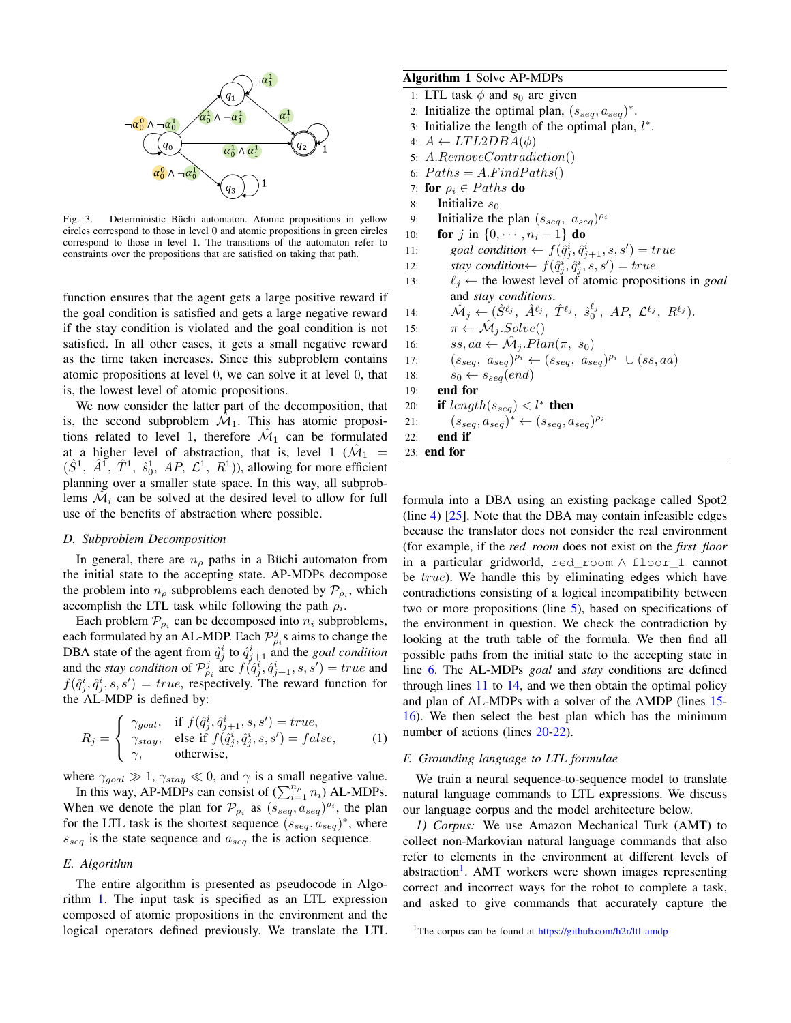

Deterministic Büchi automaton. Atomic propositions in yellow Fig.  $3$ . circles correspond to those in level 0 and atomic propositions in green circles correspond to those in level 1. The transitions of the automaton refer to constraints over the propositions that are satisfied on taking that path.

function ensures that the agent gets a large positive reward if the goal condition is satisfied and gets a large negative reward if the stay condition is violated and the goal condition is not satisfied. In all other cases, it gets a small negative reward as the time taken increases. Since this subproblem contains atomic propositions at level 0, we can solve it at level 0, that is, the lowest level of atomic propositions.

We now consider the latter part of the decomposition, that is, the second subproblem  $\mathcal{M}_1$ . This has atomic propositions related to level 1, therefore  $\mathcal{M}_1$  can be formulated at a higher level of abstraction, that is, level 1 ( $\mathcal{M}_1$  =  $(\hat{S}^1, \hat{A}^1, \hat{T}^1, \hat{s}_0^1, AP, \mathcal{L}^1, R^1)$ ), allowing for more efficient planning over a smaller state space. In this way, all subproblems  $\mathcal{M}_i$  can be solved at the desired level to allow for full use of the benefits of abstraction where possible.

# D. Subproblem Decomposition

In general, there are  $n_{\rho}$  paths in a Büchi automaton from the initial state to the accepting state. AP-MDPs decompose the problem into  $n_{\rho}$  subproblems each denoted by  $\mathcal{P}_{\rho_i}$ , which accomplish the LTL task while following the path  $\rho_i$ .

Each problem  $\mathcal{P}_{\rho_i}$  can be decomposed into  $n_i$  subproblems, each formulated by an AL-MDP. Each  $\mathcal{P}_{\rho_i}^j$ s aims to change the DBA state of the agent from  $\hat{q}_j^i$  to  $\hat{q}_{j+1}^i$  and the *goal condition* and the stay condition of  $\mathcal{P}_{\rho_i}^j$  are  $f(\hat{q}_j^i, \hat{q}_{j+1}^i, s, s') = true$  and  $f(\hat{q}_i^i, \hat{q}_i^i, s, s') = true$ , respectively. The reward function for the AL-MDP is defined by:

$$
R_j = \begin{cases} \gamma_{goal}, & \text{if } f(\hat{q}_j^i, \hat{q}_j^i_{j+1}, s, s') = true, \\ \gamma_{stay}, & \text{else if } f(\hat{q}_j^i, \hat{q}_j^i, s, s') = false, \\ \gamma, & \text{otherwise,} \end{cases} \tag{1}
$$

where  $\gamma_{goal} \gg 1$ ,  $\gamma_{stay} \ll 0$ , and  $\gamma$  is a small negative value.

In this way, AP-MDPs can consist of  $(\sum_{i=1}^{n_{\rho}} n_i)$  AL-MDPs. When we denote the plan for  $\mathcal{P}_{\rho_i}$  as  $(s_{seq}, a_{seq})^{\rho_i}$ , the plan for the LTL task is the shortest sequence  $(s_{seq}, a_{seq})^*$ , where  $s_{seq}$  is the state sequence and  $a_{seq}$  the is action sequence.

#### E. Algorithm

The entire algorithm is presented as pseudocode in Algorithm 1. The input task is specified as an LTL expression composed of atomic propositions in the environment and the logical operators defined previously. We translate the LTL

# Algorithm 1 Solve AP-MDPs

- 1: LTL task  $\phi$  and  $s_0$  are given
- 2: Initialize the optimal plan,  $(s_{seq}, a_{seq})^*$ .
- Initialize the length of the optimal plan,  $l^*$ .  $3:$
- $A \leftarrow LTL2DBA(\phi)$  $4:$
- $A$ .RemoveContradiction()  $5:$
- $Paths = A.FindPaths()$ 6:
- $7:$ for  $\rho_i \in Paths$  do
- 8: Initialize  $s_0$
- $9:$ Initialize the plan  $(s_{seq}, a_{seq})^{\rho_i}$
- **for** *j* in {0,  $\cdots$ ,  $n_i 1$ } **do**  $10:$
- goal condition  $\leftarrow f(\hat{q}_i^i, \hat{q}_{i+1}^i, s, s') = true$  $11:$
- stay condition $\leftarrow f(\hat{q}_j^i, \hat{q}_j^i, s, s') = true$  $12:$
- $\ell_j \leftarrow$  the lowest level of atomic propositions in goal  $13:$ and stay conditions.
- $\mathcal{M}_j \leftarrow (\hat{S}^{\ell_j}, \ \hat{A}^{\ell_j}, \ \hat{T}^{\ell_j}, \ \hat{s}_0^{\ell_j}, \ AP, \ \mathcal{L}^{\ell_j}, \ R^{\ell_j}).$  $14:$
- $\pi \leftarrow \hat{\mathcal{M}}_i.Solve()$  $15:$
- 16:
- $ss, aa \leftarrow \hat{\mathcal{M}}_j. Plan(\pi, s_0)$ <br>  $(s_{seq}, a_{seq})^{\rho_i} \leftarrow (s_{seq}, a_{seq})^{\rho_i} \cup (ss, aa)$  $17:$
- $s_0 \leftarrow s_{seq}(end)$  $18:$
- end for 19:
- if  $length(s_{seq}) < l^*$  then  $20:$
- $(s_{seq}, a_{seq})^* \leftarrow (s_{seq}, a_{seq})^{\rho_i}$  $21:$

```
22:end if
23: end for
```
formula into a DBA using an existing package called Spot2 (line 4)  $[25]$ . Note that the DBA may contain infeasible edges because the translator does not consider the real environment (for example, if the red\_room does not exist on the first\_floor in a particular gridworld, red\_room A floor\_1 cannot be true). We handle this by eliminating edges which have contradictions consisting of a logical incompatibility between two or more propositions (line  $5$ ), based on specifications of the environment in question. We check the contradiction by looking at the truth table of the formula. We then find all possible paths from the initial state to the accepting state in line 6. The AL-MDPs *goal* and *stay* conditions are defined through lines  $11$  to  $14$ , and we then obtain the optimal policy and plan of AL-MDPs with a solver of the AMDP (lines 15-16). We then select the best plan which has the minimum number of actions (lines 20-22).

# F. Grounding language to LTL formulae

We train a neural sequence-to-sequence model to translate natural language commands to LTL expressions. We discuss our language corpus and the model architecture below.

1) Corpus: We use Amazon Mechanical Turk (AMT) to collect non-Markovian natural language commands that also refer to elements in the environment at different levels of abstraction<sup>1</sup>. AMT workers were shown images representing correct and incorrect ways for the robot to complete a task, and asked to give commands that accurately capture the

<sup>&</sup>lt;sup>1</sup>The corpus can be found at https://github.com/h2r/ltl-amdp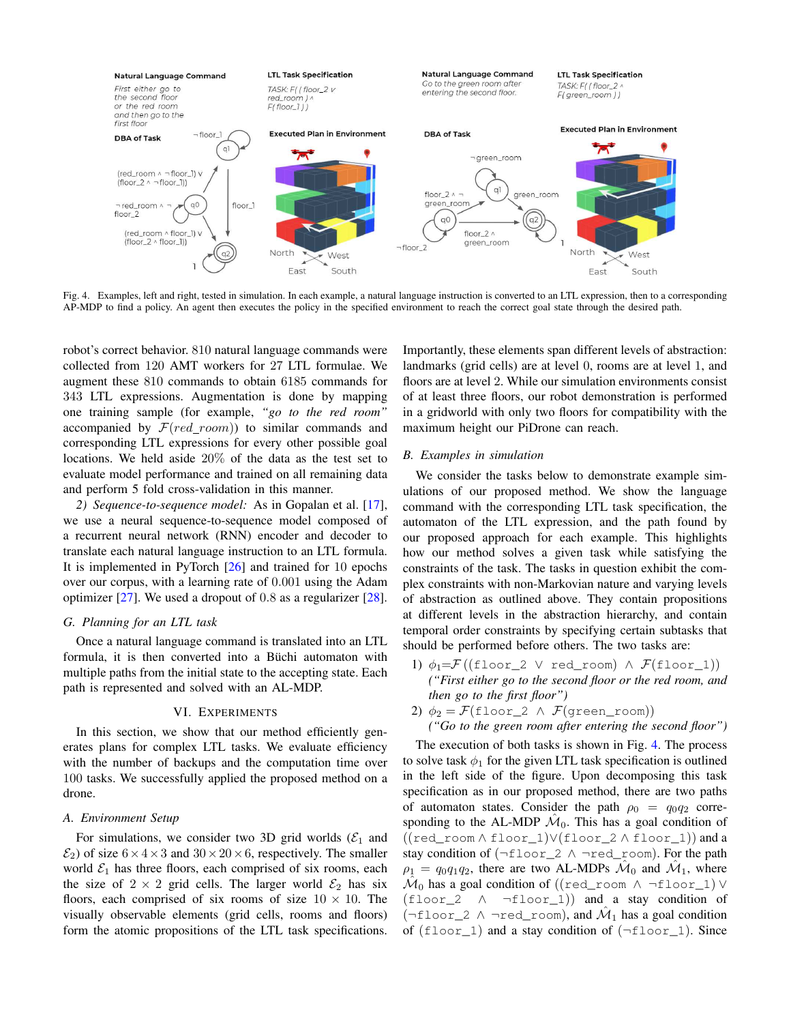

Fig. 4. Examples, left and right, tested in simulation. In each example, a natural language instruction is converted to an LTL expression, then to a corresponding AP-MDP to find a policy. An agent then executes the policy in the specified environment to reach the correct goal state through the desired path.

robot's correct behavior. 810 natural language commands were collected from 120 AMT workers for 27 LTL formulae. We augment these 810 commands to obtain 6185 commands for 343 LTL expressions. Augmentation is done by mapping one training sample (for example, "go to the red room" accompanied by  $\mathcal{F}(red\_room)$  to similar commands and corresponding LTL expressions for every other possible goal locations. We held aside  $20\%$  of the data as the test set to evaluate model performance and trained on all remaining data and perform 5 fold cross-validation in this manner.

2) Sequence-to-sequence model: As in Gopalan et al. [17], we use a neural sequence-to-sequence model composed of a recurrent neural network (RNN) encoder and decoder to translate each natural language instruction to an LTL formula. It is implemented in PyTorch  $[26]$  and trained for 10 epochs over our corpus, with a learning rate of 0.001 using the Adam optimizer  $[27]$ . We used a dropout of 0.8 as a regularizer  $[28]$ .

## G. Planning for an LTL task

Once a natural language command is translated into an LTL formula, it is then converted into a Büchi automaton with multiple paths from the initial state to the accepting state. Each path is represented and solved with an AL-MDP.

## VI. EXPERIMENTS

In this section, we show that our method efficiently generates plans for complex LTL tasks. We evaluate efficiency with the number of backups and the computation time over 100 tasks. We successfully applied the proposed method on a drone.

#### A. Environment Setup

For simulations, we consider two 3D grid worlds ( $\mathcal{E}_1$  and  $\mathcal{E}_2$ ) of size  $6 \times 4 \times 3$  and  $30 \times 20 \times 6$ , respectively. The smaller world  $\mathcal{E}_1$  has three floors, each comprised of six rooms, each the size of  $2 \times 2$  grid cells. The larger world  $\mathcal{E}_2$  has six floors, each comprised of six rooms of size  $10 \times 10$ . The visually observable elements (grid cells, rooms and floors) form the atomic propositions of the LTL task specifications.

Importantly, these elements span different levels of abstraction: landmarks (grid cells) are at level 0, rooms are at level 1, and floors are at level 2. While our simulation environments consist of at least three floors, our robot demonstration is performed in a gridworld with only two floors for compatibility with the maximum height our PiDrone can reach.

## **B.** Examples in simulation

We consider the tasks below to demonstrate example simulations of our proposed method. We show the language command with the corresponding LTL task specification, the automaton of the LTL expression, and the path found by our proposed approach for each example. This highlights how our method solves a given task while satisfying the constraints of the task. The tasks in question exhibit the complex constraints with non-Markovian nature and varying levels of abstraction as outlined above. They contain propositions at different levels in the abstraction hierarchy, and contain temporal order constraints by specifying certain subtasks that should be performed before others. The two tasks are:

- 1)  $\phi_1 = \mathcal{F}((\text{floor 2} \vee \text{red room}) \wedge \mathcal{F}(\text{floor 1}))$ ("First either go to the second floor or the red room, and then go to the first floor")
- 2)  $\phi_2 = \mathcal{F}(\text{floor}\_2 \land \mathcal{F}(\text{green\_room}))$ 
	- ("Go to the green room after entering the second floor")

The execution of both tasks is shown in Fig. 4. The process to solve task  $\phi_1$  for the given LTL task specification is outlined in the left side of the figure. Upon decomposing this task specification as in our proposed method, there are two paths of automaton states. Consider the path  $\rho_0 = q_0 q_2$  corresponding to the AL-MDP  $\mathcal{M}_0$ . This has a goal condition of  $((red\_room \land floor\_1) \lor (floor\_2 \land floor\_1))$  and a stay condition of (¬floor\_2 ^ ¬red\_room). For the path  $\rho_1 = q_0 q_1 q_2$ , there are two AL-MDPs  $\mathcal{M}_0$  and  $\mathcal{M}_1$ , where  $\mathcal{M}_0$  has a goal condition of ((red\_room  $\wedge \neg \text{floor\_1}$ )  $\vee$  $(floor_2 \wedge \neg floor_1))$  and a stay condition of  $(\neg \text{floor}\_2 \land \neg \text{red}\_\text{room})$ , and  $\mathcal{M}_1$  has a goal condition of  $(floor_1)$  and a stay condition of  $(\neg floor_1)$ . Since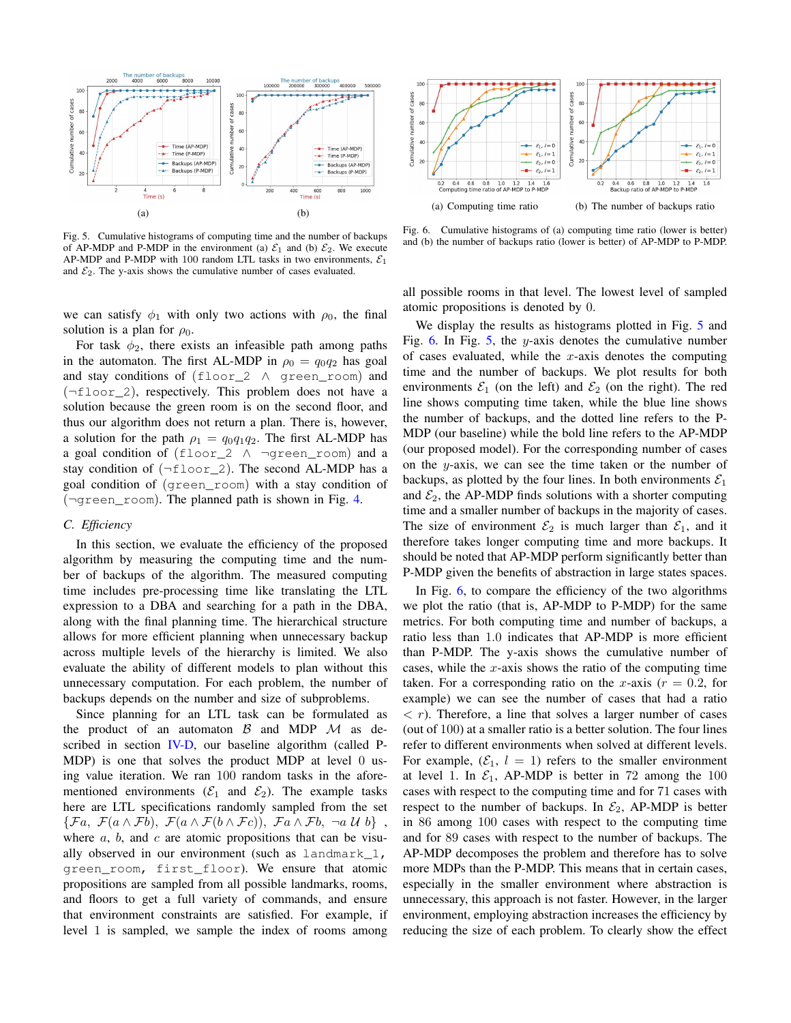

Fig. 5. Cumulative histograms of computing time and the number of backups of AP-MDP and P-MDP in the environment (a)  $\mathcal{E}_1$  and (b)  $\mathcal{E}_2$ . We execute AP-MDP and P-MDP with 100 random LTL tasks in two environments,  $\mathcal{E}_1$ and  $\mathcal{E}_2$ . The y-axis shows the cumulative number of cases evaluated.

we can satisfy  $\phi_1$  with only two actions with  $\rho_0$ , the final solution is a plan for  $\rho_0$ .

For task  $\phi_2$ , there exists an infeasible path among paths in the automaton. The first AL-MDP in  $\rho_0 = q_0 q_2$  has goal and stay conditions of (floor\_2 A green\_room) and  $(\neg \text{floor}\_2)$ , respectively. This problem does not have a solution because the green room is on the second floor, and thus our algorithm does not return a plan. There is, however, a solution for the path  $\rho_1 = q_0 q_1 q_2$ . The first AL-MDP has a goal condition of (floor\_2  $\land$  ¬green\_room) and a stay condition of  $(\neg \text{floor}\_2)$ . The second AL-MDP has a goal condition of (green\_room) with a stay condition of (¬green\_room). The planned path is shown in Fig. 4.

# C. Efficiency

In this section, we evaluate the efficiency of the proposed algorithm by measuring the computing time and the number of backups of the algorithm. The measured computing time includes pre-processing time like translating the LTL expression to a DBA and searching for a path in the DBA, along with the final planning time. The hierarchical structure allows for more efficient planning when unnecessary backup across multiple levels of the hierarchy is limited. We also evaluate the ability of different models to plan without this unnecessary computation. For each problem, the number of backups depends on the number and size of subproblems.

Since planning for an LTL task can be formulated as the product of an automaton  $\beta$  and MDP  $\mathcal M$  as described in section IV-D, our baseline algorithm (called P-MDP) is one that solves the product MDP at level 0 using value iteration. We ran 100 random tasks in the aforementioned environments ( $\mathcal{E}_1$  and  $\mathcal{E}_2$ ). The example tasks here are LTL specifications randomly sampled from the set  $\{\mathcal{F}a, \mathcal{F}(a \wedge \mathcal{F}b), \mathcal{F}(a \wedge \mathcal{F}(b \wedge \mathcal{F}c)), \mathcal{F}a \wedge \mathcal{F}b, \neg a \mathcal{U}b\},$ where  $a, b,$  and  $c$  are atomic propositions that can be visually observed in our environment (such as landmark\_1, green room, first floor). We ensure that atomic propositions are sampled from all possible landmarks, rooms, and floors to get a full variety of commands, and ensure that environment constraints are satisfied. For example, if level 1 is sampled, we sample the index of rooms among



Fig. 6. Cumulative histograms of (a) computing time ratio (lower is better) and (b) the number of backups ratio (lower is better) of AP-MDP to P-MDP.

all possible rooms in that level. The lowest level of sampled atomic propositions is denoted by 0.

We display the results as histograms plotted in Fig. 5 and Fig. 6. In Fig. 5, the y-axis denotes the cumulative number of cases evaluated, while the  $x$ -axis denotes the computing time and the number of backups. We plot results for both environments  $\mathcal{E}_1$  (on the left) and  $\mathcal{E}_2$  (on the right). The red line shows computing time taken, while the blue line shows the number of backups, and the dotted line refers to the P-MDP (our baseline) while the bold line refers to the AP-MDP (our proposed model). For the corresponding number of cases on the  $y$ -axis, we can see the time taken or the number of backups, as plotted by the four lines. In both environments  $\mathcal{E}_1$ and  $\mathcal{E}_2$ , the AP-MDP finds solutions with a shorter computing time and a smaller number of backups in the majority of cases. The size of environment  $\mathcal{E}_2$  is much larger than  $\mathcal{E}_1$ , and it therefore takes longer computing time and more backups. It should be noted that AP-MDP perform significantly better than P-MDP given the benefits of abstraction in large states spaces.

In Fig.  $6$ , to compare the efficiency of the two algorithms we plot the ratio (that is, AP-MDP to P-MDP) for the same metrics. For both computing time and number of backups, a ratio less than 1.0 indicates that AP-MDP is more efficient than P-MDP. The y-axis shows the cumulative number of cases, while the  $x$ -axis shows the ratio of the computing time taken. For a corresponding ratio on the x-axis ( $r = 0.2$ , for example) we can see the number of cases that had a ratio  $\langle r \rangle$ . Therefore, a line that solves a larger number of cases (out of 100) at a smaller ratio is a better solution. The four lines refer to different environments when solved at different levels. For example,  $(\mathcal{E}_1, l = 1)$  refers to the smaller environment at level 1. In  $\mathcal{E}_1$ , AP-MDP is better in 72 among the 100 cases with respect to the computing time and for 71 cases with respect to the number of backups. In  $\mathcal{E}_2$ , AP-MDP is better in 86 among 100 cases with respect to the computing time and for 89 cases with respect to the number of backups. The AP-MDP decomposes the problem and therefore has to solve more MDPs than the P-MDP. This means that in certain cases, especially in the smaller environment where abstraction is unnecessary, this approach is not faster. However, in the larger environment, employing abstraction increases the efficiency by reducing the size of each problem. To clearly show the effect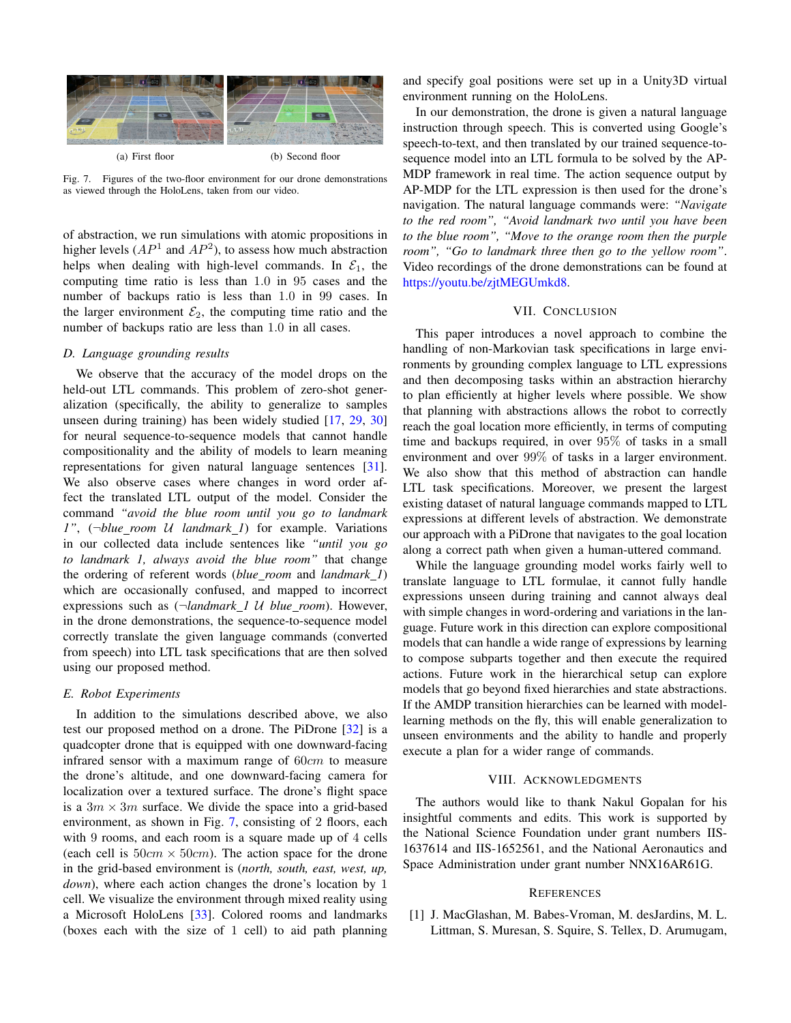

Fig. 7. Figures of the two-floor environment for our drone demonstrations as viewed through the HoloLens, taken from our video.

of abstraction, we run simulations with atomic propositions in higher levels  $(AP^1$  and  $AP^2$ ), to assess how much abstraction helps when dealing with high-level commands. In  $\mathcal{E}_1$ , the computing time ratio is less than 1.0 in 95 cases and the number of backups ratio is less than 1.0 in 99 cases. In the larger environment  $\mathcal{E}_2$ , the computing time ratio and the number of backups ratio are less than 1.0 in all cases.

# D. Language grounding results

We observe that the accuracy of the model drops on the held-out LTL commands. This problem of zero-shot generalization (specifically, the ability to generalize to samples unseen during training) has been widely studied [17, 29, 30] for neural sequence-to-sequence models that cannot handle compositionality and the ability of models to learn meaning representations for given natural language sentences [31]. We also observe cases where changes in word order affect the translated LTL output of the model. Consider the command "avoid the blue room until you go to landmark 1",  $(\neg blue\text{ room } U \text{ landmark } I)$  for example. Variations in our collected data include sentences like "until you go to landmark 1, always avoid the blue room" that change the ordering of referent words (blue\_room and landmark\_1) which are occasionally confused, and mapped to incorrect expressions such as  $(\neg \text{landmark}\_1 \mathcal{U})$  blue\_room). However, in the drone demonstrations, the sequence-to-sequence model correctly translate the given language commands (converted from speech) into LTL task specifications that are then solved using our proposed method.

#### E. Robot Experiments

In addition to the simulations described above, we also test our proposed method on a drone. The PiDrone [32] is a quadcopter drone that is equipped with one downward-facing infrared sensor with a maximum range of  $60cm$  to measure the drone's altitude, and one downward-facing camera for localization over a textured surface. The drone's flight space is a  $3m \times 3m$  surface. We divide the space into a grid-based environment, as shown in Fig. 7, consisting of 2 floors, each with 9 rooms, and each room is a square made up of 4 cells (each cell is  $50cm \times 50cm$ ). The action space for the drone in the grid-based environment is (north, south, east, west, up, *down*), where each action changes the drone's location by 1 cell. We visualize the environment through mixed reality using a Microsoft HoloLens [33]. Colored rooms and landmarks (boxes each with the size of 1 cell) to aid path planning and specify goal positions were set up in a Unity3D virtual environment running on the HoloLens.

In our demonstration, the drone is given a natural language instruction through speech. This is converted using Google's speech-to-text, and then translated by our trained sequence-tosequence model into an LTL formula to be solved by the AP-MDP framework in real time. The action sequence output by AP-MDP for the LTL expression is then used for the drone's navigation. The natural language commands were: "Navigate to the red room", "Avoid landmark two until you have been to the blue room", "Move to the orange room then the purple room", "Go to landmark three then go to the yellow room". Video recordings of the drone demonstrations can be found at https://youtu.be/zjtMEGUmkd8.

# VII. CONCLUSION

This paper introduces a novel approach to combine the handling of non-Markovian task specifications in large environments by grounding complex language to LTL expressions and then decomposing tasks within an abstraction hierarchy to plan efficiently at higher levels where possible. We show that planning with abstractions allows the robot to correctly reach the goal location more efficiently, in terms of computing time and backups required, in over  $95\%$  of tasks in a small environment and over  $99\%$  of tasks in a larger environment. We also show that this method of abstraction can handle LTL task specifications. Moreover, we present the largest existing dataset of natural language commands mapped to LTL expressions at different levels of abstraction. We demonstrate our approach with a PiDrone that navigates to the goal location along a correct path when given a human-uttered command.

While the language grounding model works fairly well to translate language to LTL formulae, it cannot fully handle expressions unseen during training and cannot always deal with simple changes in word-ordering and variations in the language. Future work in this direction can explore compositional models that can handle a wide range of expressions by learning to compose subparts together and then execute the required actions. Future work in the hierarchical setup can explore models that go beyond fixed hierarchies and state abstractions. If the AMDP transition hierarchies can be learned with modellearning methods on the fly, this will enable generalization to unseen environments and the ability to handle and properly execute a plan for a wider range of commands.

#### VIII. ACKNOWLEDGMENTS

The authors would like to thank Nakul Gopalan for his insightful comments and edits. This work is supported by the National Science Foundation under grant numbers IIS-1637614 and IIS-1652561, and the National Aeronautics and Space Administration under grant number NNX16AR61G.

## **REFERENCES**

[1] J. MacGlashan, M. Babes-Vroman, M. desJardins, M. L. Littman, S. Muresan, S. Squire, S. Tellex, D. Arumugam,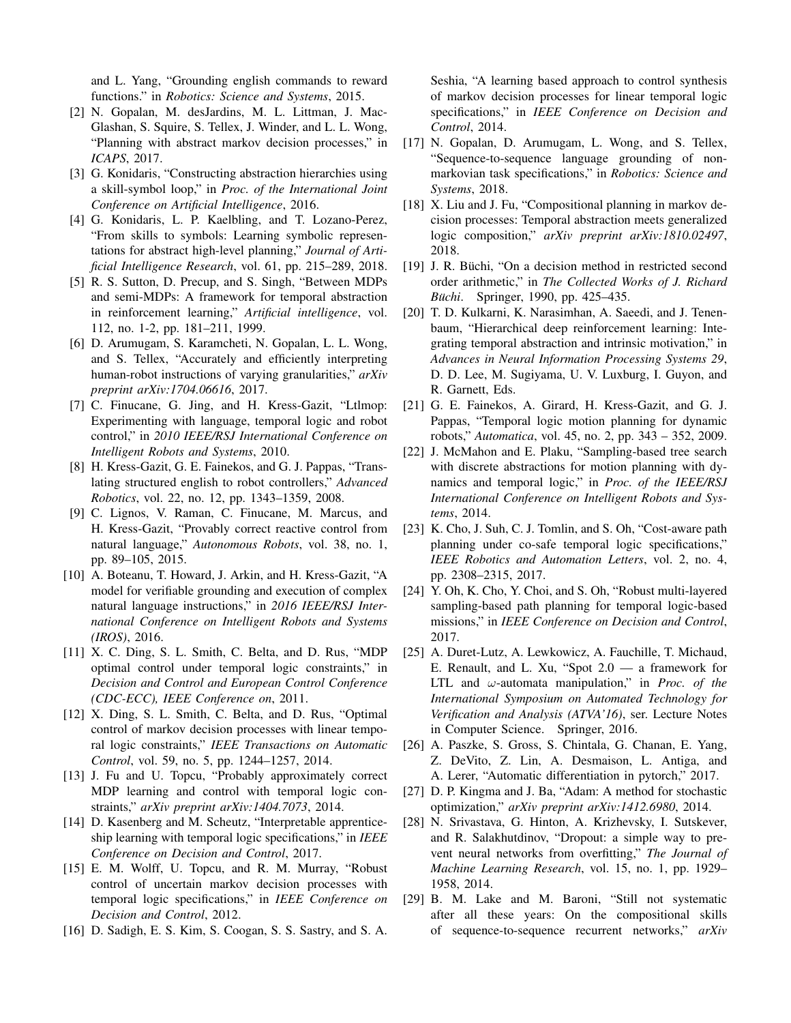and L. Yang, "Grounding english commands to reward functions." in Robotics: Science and Systems, 2015.

- [2] N. Gopalan, M. desJardins, M. L. Littman, J. Mac-Glashan, S. Squire, S. Tellex, J. Winder, and L. L. Wong, "Planning with abstract markov decision processes," in ICAPS, 2017.
- [3] G. Konidaris, "Constructing abstraction hierarchies using a skill-symbol loop," in Proc. of the International Joint Conference on Artificial Intelligence, 2016.
- [4] G. Konidaris, L. P. Kaelbling, and T. Lozano-Perez, "From skills to symbols: Learning symbolic representations for abstract high-level planning," Journal of Artificial Intelligence Research, vol. 61, pp. 215–289, 2018.
- [5] R. S. Sutton, D. Precup, and S. Singh, "Between MDPs and semi-MDPs: A framework for temporal abstraction in reinforcement learning," Artificial intelligence, vol. 112, no. 1-2, pp. 181-211, 1999.
- [6] D. Arumugam, S. Karamcheti, N. Gopalan, L. L. Wong, and S. Tellex, "Accurately and efficiently interpreting human-robot instructions of varying granularities," arXiv preprint arXiv:1704.06616, 2017.
- [7] C. Finucane, G. Jing, and H. Kress-Gazit, "Ltlmop: Experimenting with language, temporal logic and robot control," in 2010 IEEE/RSJ International Conference on Intelligent Robots and Systems, 2010.
- [8] H. Kress-Gazit, G. E. Fainekos, and G. J. Pappas, "Translating structured english to robot controllers," Advanced Robotics, vol. 22, no. 12, pp. 1343-1359, 2008.
- [9] C. Lignos, V. Raman, C. Finucane, M. Marcus, and H. Kress-Gazit, "Provably correct reactive control from natural language," Autonomous Robots, vol. 38, no. 1, pp. 89-105, 2015.
- [10] A. Boteanu, T. Howard, J. Arkin, and H. Kress-Gazit, "A model for verifiable grounding and execution of complex natural language instructions," in 2016 IEEE/RSJ International Conference on Intelligent Robots and Systems  $(IROS)$ , 2016.
- [11] X. C. Ding, S. L. Smith, C. Belta, and D. Rus, "MDP optimal control under temporal logic constraints," in Decision and Control and European Control Conference (CDC-ECC), IEEE Conference on, 2011.
- [12] X. Ding, S. L. Smith, C. Belta, and D. Rus, "Optimal control of markov decision processes with linear temporal logic constraints," IEEE Transactions on Automatic Control, vol. 59, no. 5, pp. 1244-1257, 2014.
- [13] J. Fu and U. Topcu, "Probably approximately correct MDP learning and control with temporal logic constraints," arXiv preprint arXiv:1404.7073, 2014.
- [14] D. Kasenberg and M. Scheutz, "Interpretable apprenticeship learning with temporal logic specifications," in IEEE Conference on Decision and Control, 2017.
- [15] E. M. Wolff, U. Topcu, and R. M. Murray, "Robust" control of uncertain markov decision processes with temporal logic specifications," in IEEE Conference on Decision and Control, 2012.
- [16] D. Sadigh, E. S. Kim, S. Coogan, S. S. Sastry, and S. A.

Seshia, "A learning based approach to control synthesis of markov decision processes for linear temporal logic specifications," in IEEE Conference on Decision and Control, 2014.

- [17] N. Gopalan, D. Arumugam, L. Wong, and S. Tellex, "Sequence-to-sequence language grounding of nonmarkovian task specifications," in Robotics: Science and Systems, 2018.
- X. Liu and J. Fu, "Compositional planning in markov de- $[18]$ cision processes: Temporal abstraction meets generalized logic composition," arXiv preprint arXiv:1810.02497, 2018.
- [19] J. R. Büchi, "On a decision method in restricted second order arithmetic," in The Collected Works of J. Richard Büchi. Springer, 1990, pp. 425–435.
- T. D. Kulkarni, K. Narasimhan, A. Saeedi, and J. Tenen- $[20]$ baum, "Hierarchical deep reinforcement learning: Integrating temporal abstraction and intrinsic motivation," in Advances in Neural Information Processing Systems 29, D. D. Lee, M. Sugiyama, U. V. Luxburg, I. Guyon, and R. Garnett, Eds.
- [21] G. E. Fainekos, A. Girard, H. Kress-Gazit, and G. J. Pappas, "Temporal logic motion planning for dynamic robots," Automatica, vol. 45, no. 2, pp. 343 – 352, 2009.
- [22] J. McMahon and E. Plaku, "Sampling-based tree search with discrete abstractions for motion planning with dynamics and temporal logic," in Proc. of the IEEE/RSJ International Conference on Intelligent Robots and Systems, 2014.
- [23] K. Cho, J. Suh, C. J. Tomlin, and S. Oh, "Cost-aware path" planning under co-safe temporal logic specifications," IEEE Robotics and Automation Letters, vol. 2, no. 4, pp. 2308-2315, 2017.
- [24] Y. Oh, K. Cho, Y. Choi, and S. Oh, "Robust multi-layered sampling-based path planning for temporal logic-based missions," in IEEE Conference on Decision and Control, 2017.
- [25] A. Duret-Lutz, A. Lewkowicz, A. Fauchille, T. Michaud, E. Renault, and L. Xu, "Spot  $2.0 - a$  framework for LTL and  $\omega$ -automata manipulation," in *Proc. of the* International Symposium on Automated Technology for Verification and Analysis (ATVA'16), ser. Lecture Notes in Computer Science. Springer, 2016.
- [26] A. Paszke, S. Gross, S. Chintala, G. Chanan, E. Yang, Z. DeVito, Z. Lin, A. Desmaison, L. Antiga, and A. Lerer, "Automatic differentiation in pytorch," 2017.
- [27] D. P. Kingma and J. Ba, "Adam: A method for stochastic optimization," arXiv preprint arXiv:1412.6980, 2014.
- [28] N. Srivastava, G. Hinton, A. Krizhevsky, I. Sutskever, and R. Salakhutdinov, "Dropout: a simple way to prevent neural networks from overfitting," The Journal of Machine Learning Research, vol. 15, no. 1, pp. 1929– 1958, 2014.
- [29] B. M. Lake and M. Baroni, "Still not systematic after all these years: On the compositional skills of sequence-to-sequence recurrent networks," arXiv